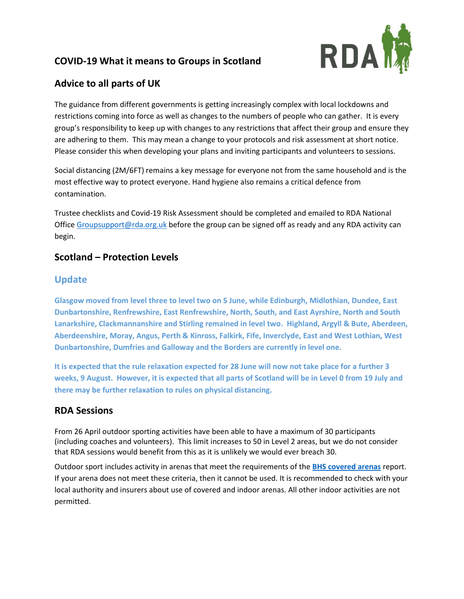# **COVID-19 What it means to Groups in Scotland**



# **Advice to all parts of UK**

The guidance from different governments is getting increasingly complex with local lockdowns and restrictions coming into force as well as changes to the numbers of people who can gather. It is every group's responsibility to keep up with changes to any restrictions that affect their group and ensure they are adhering to them. This may mean a change to your protocols and risk assessment at short notice. Please consider this when developing your plans and inviting participants and volunteers to sessions.

Social distancing (2M/6FT) remains a key message for everyone not from the same household and is the most effective way to protect everyone. Hand hygiene also remains a critical defence from contamination.

Trustee checklists and Covid-19 Risk Assessment should be completed and emailed to RDA National Office [Groupsupport@rda.org.uk](mailto:Groupsupport@rda.org.uk) before the group can be signed off as ready and any RDA activity can begin.

#### **Scotland – Protection Levels**

#### **Update**

**Glasgow moved from level three to level two on 5 June, while Edinburgh, Midlothian, Dundee, East Dunbartonshire, Renfrewshire, East Renfrewshire, North, South, and East Ayrshire, North and South Lanarkshire, Clackmannanshire and Stirling remained in level two. Highland, Argyll & Bute, Aberdeen, Aberdeenshire, Moray, Angus, Perth & Kinross, Falkirk, Fife, Inverclyde, East and West Lothian, West Dunbartonshire, Dumfries and Galloway and the Borders are currently in level one.**

**It is expected that the rule relaxation expected for 28 June will now not take place for a further 3 weeks, 9 August. However, it is expected that all parts of Scotland will be in Level 0 from 19 July and there may be further relaxation to rules on physical distancing.** 

## **RDA Sessions**

From 26 April outdoor sporting activities have been able to have a maximum of 30 participants (including coaches and volunteers). This limit increases to 50 in Level 2 areas, but we do not consider that RDA sessions would benefit from this as it is unlikely we would ever breach 30.

Outdoor sport includes activity in arenas that meet the requirements of the **[BHS covered arenas](https://www.bhs.org.uk/~/media/documents/covid-19-documents/covered-arena-best-practice-final.ashx?la=en)** report. If your arena does not meet these criteria, then it cannot be used. It is recommended to check with your local authority and insurers about use of covered and indoor arenas. All other indoor activities are not permitted.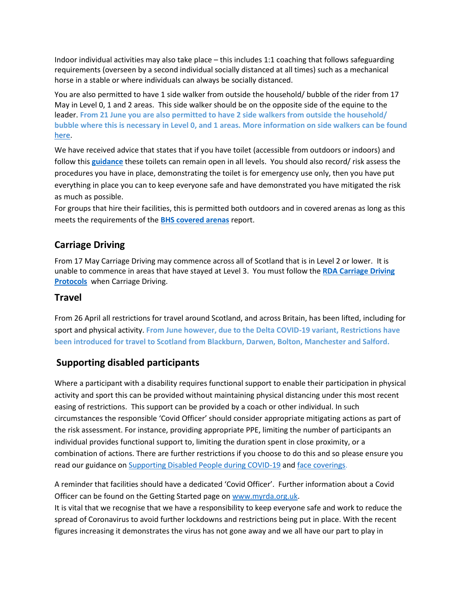Indoor individual activities may also take place – this includes 1:1 coaching that follows safeguarding requirements (overseen by a second individual socially distanced at all times) such as a mechanical horse in a stable or where individuals can always be socially distanced.

You are also permitted to have 1 side walker from outside the household/ bubble of the rider from 17 May in Level 0, 1 and 2 areas. This side walker should be on the opposite side of the equine to the leader. **From 21 June you are also permitted to have 2 side walkers from outside the household/ bubble where this is necessary in Level 0, and 1 areas. More information on side walkers can be found** [here.](https://www.myrda.org.uk/assets/210616_SideWalker.pdf)

We have received advice that states that if you have toilet (accessible from outdoors or indoors) and follow this **[guidance](https://www.gov.scot/publications/coronavirus-covid-19-public-and-customer-toilets-guidance/pages/hygiene-measures/)** these toilets can remain open in all levels. You should also record/ risk assess the procedures you have in place, demonstrating the toilet is for emergency use only, then you have put everything in place you can to keep everyone safe and have demonstrated you have mitigated the risk as much as possible.

For groups that hire their facilities, this is permitted both outdoors and in covered arenas as long as this meets the requirements of the **[BHS covered arenas](https://www.bhs.org.uk/~/media/documents/covid-19-documents/covered-arena-best-practice-final.ashx?la=en)** report.

## **Carriage Driving**

From 17 May Carriage Driving may commence across all of Scotland that is in Level 2 or lower. It is unable to commence in areas that have stayed at Level 3. You must follow the **[RDA Carriage Driving](https://www.myrda.org.uk/assets/210420_Restarting-Carriage-Driving-Protocols-April-2021.pdf)  Protocols** when Carriage Driving.

#### **Travel**

From 26 April all restrictions for travel around Scotland, and across Britain, has been lifted, including for sport and physical activity. **From June however, due to the Delta COVID-19 variant, Restrictions have been introduced for travel to Scotland from Blackburn, Darwen, Bolton, Manchester and Salford.** 

#### **Supporting disabled participants**

Where a participant with a disability requires functional support to enable their participation in physical activity and sport this can be provided without maintaining physical distancing under this most recent easing of restrictions. This support can be provided by a coach or other individual. In such circumstances the responsible 'Covid Officer' should consider appropriate mitigating actions as part of the risk assessment. For instance, providing appropriate PPE, limiting the number of participants an individual provides functional support to, limiting the duration spent in close proximity, or a combination of actions. There are further restrictions if you choose to do this and so please ensure you read our guidance o[n Supporting Disabled People during COVID-19](https://www.myrda.org.uk/assets/201019_Disabled.pdf) and [face coverings.](https://www.myrda.org.uk/assets/201019_Face_Coverings.pdf)

A reminder that facilities should have a dedicated 'Covid Officer'. Further information about a Covid Officer can be found on the Getting Started page o[n www.myrda.org.uk.](http://www.myrda.org.uk/)

It is vital that we recognise that we have a responsibility to keep everyone safe and work to reduce the spread of Coronavirus to avoid further lockdowns and restrictions being put in place. With the recent figures increasing it demonstrates the virus has not gone away and we all have our part to play in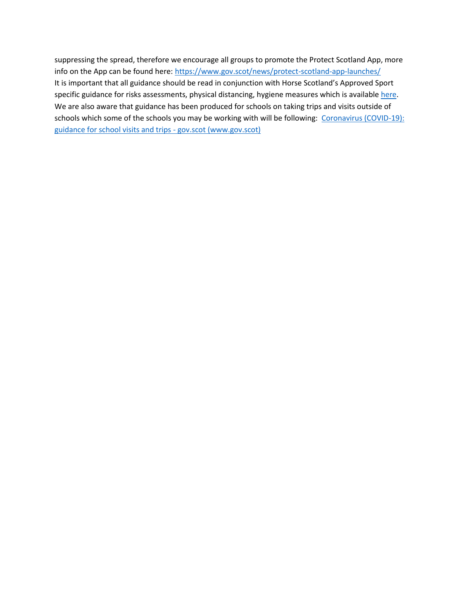suppressing the spread, therefore we encourage all groups to promote the Protect Scotland App, more info on the App can be found here: <https://www.gov.scot/news/protect-scotland-app-launches/> It is important that all guidance should be read in conjunction with Horse Scotland's Approved Sport specific guidance for risks assessments, physical distancing, hygiene measures which is available [here.](https://www.horsescotland.org/covid-19support) We are also aware that guidance has been produced for schools on taking trips and visits outside of schools which some of the schools you may be working with will be following: Coronavirus (COVID-19): [guidance for school visits and trips -](https://www.gov.scot/publications/coronavirus-covid-19-guidance-for-school-visits-and-trips/) gov.scot (www.gov.scot)